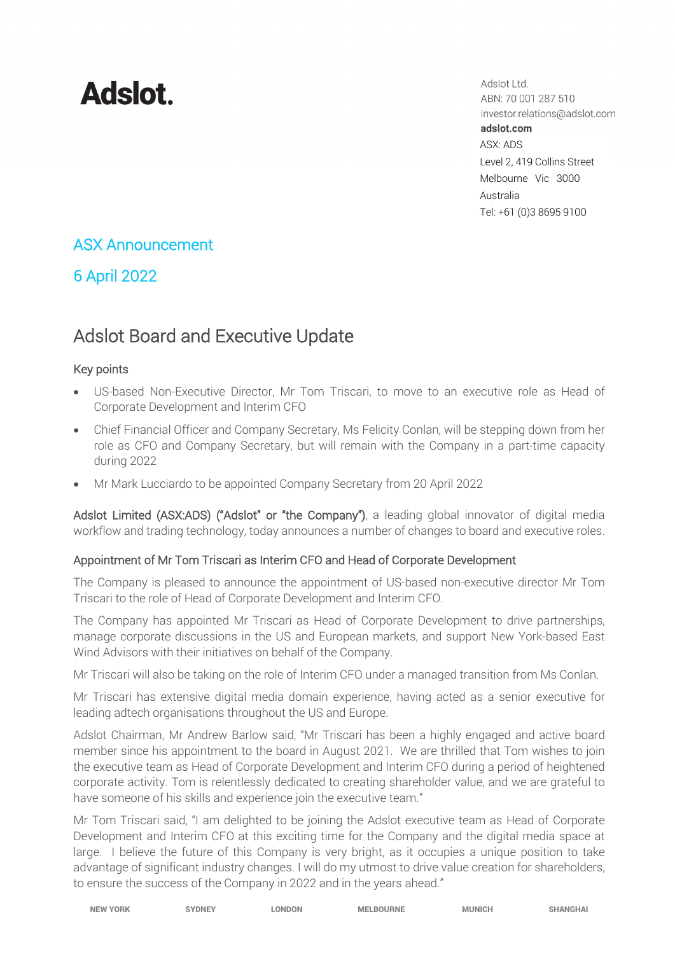# **Adslot**

Adslot Ltd. ABN: 70 001 287 510 investor.relations@adslot.com adslot.com ASX: ADS Level 2, 419 Collins Street Melbourne Vic 3000 Australia Tel: +61 (0)3 8695 9100

### ASX Announcement

## 6 April 2022

# Adslot Board and Executive Update

#### Key points

- US-based Non-Executive Director, Mr Tom Triscari, to move to an executive role as Head of Corporate Development and Interim CFO
- Chief Financial Officer and Company Secretary, Ms Felicity Conlan, will be stepping down from her role as CFO and Company Secretary, but will remain with the Company in a part-time capacity during 2022
- Mr Mark Lucciardo to be appointed Company Secretary from 20 April 2022

Adslot Limited (ASX:ADS) ("Adslot" or "the Company"), a leading global innovator of digital media workflow and trading technology, today announces a number of changes to board and executive roles.

#### Appointment of Mr Tom Triscari as Interim CFO and Head of Corporate Development

The Company is pleased to announce the appointment of US-based non-executive director Mr Tom Triscari to the role of Head of Corporate Development and Interim CFO.

The Company has appointed Mr Triscari as Head of Corporate Development to drive partnerships, manage corporate discussions in the US and European markets, and support New York-based East Wind Advisors with their initiatives on behalf of the Company.

Mr Triscari will also be taking on the role of Interim CFO under a managed transition from Ms Conlan.

Mr Triscari has extensive digital media domain experience, having acted as a senior executive for leading adtech organisations throughout the US and Europe.

Adslot Chairman, Mr Andrew Barlow said, "Mr Triscari has been a highly engaged and active board member since his appointment to the board in August 2021. We are thrilled that Tom wishes to join the executive team as Head of Corporate Development and Interim CFO during a period of heightened corporate activity. Tom is relentlessly dedicated to creating shareholder value, and we are grateful to have someone of his skills and experience join the executive team."

Mr Tom Triscari said, "I am delighted to be joining the Adslot executive team as Head of Corporate Development and Interim CFO at this exciting time for the Company and the digital media space at large. I believe the future of this Company is very bright, as it occupies a unique position to take advantage of significant industry changes. I will do my utmost to drive value creation for shareholders, to ensure the success of the Company in 2022 and in the years ahead."

| <b>NEW YORK</b> | <b>SYDNEY</b> | <b>LONDON</b> | <b>MELBOURNE</b> | <b>MUNICH</b> | <b>SHANGHAI</b> |
|-----------------|---------------|---------------|------------------|---------------|-----------------|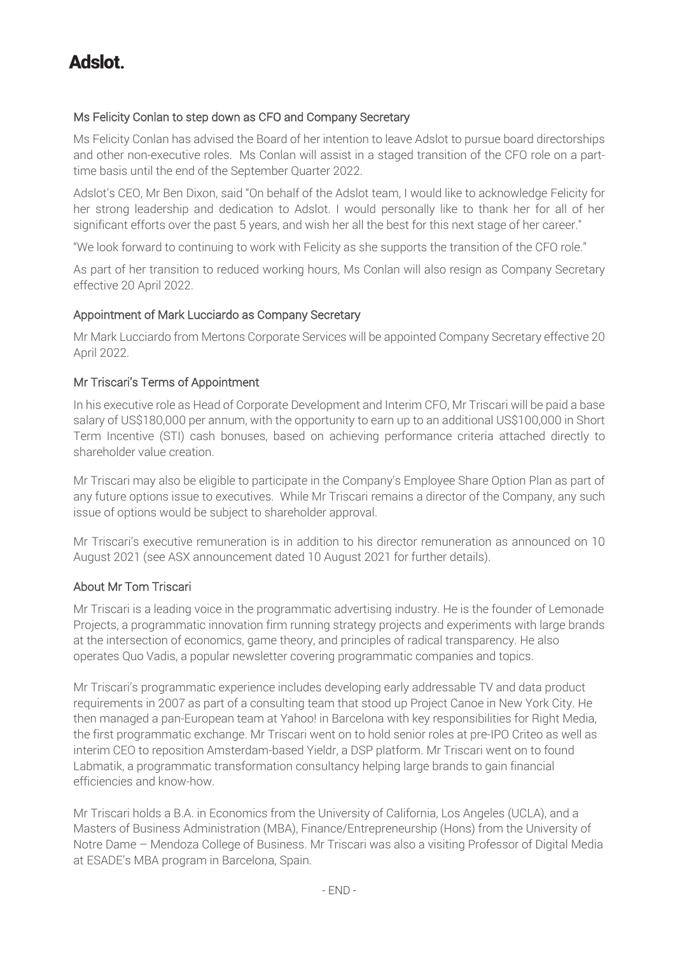# **Adslot**

#### Ms Felicity Conlan to step down as CFO and Company Secretary

Ms Felicity Conlan has advised the Board of her intention to leave Adslot to pursue board directorships and other non-executive roles. Ms Conlan will assist in a staged transition of the CFO role on a parttime basis until the end of the September Quarter 2022.

Adslot's CEO, Mr Ben Dixon, said "On behalf of the Adslot team, I would like to acknowledge Felicity for her strong leadership and dedication to Adslot. I would personally like to thank her for all of her significant efforts over the past 5 years, and wish her all the best for this next stage of her career."

"We look forward to continuing to work with Felicity as she supports the transition of the CFO role."

As part of her transition to reduced working hours, Ms Conlan will also resign as Company Secretary effective 20 April 2022.

#### Appointment of Mark Lucciardo as Company Secretary

Mr Mark Lucciardo from Mertons Corporate Services will be appointed Company Secretary effective 20 April 2022.

#### Mr Triscari's Terms of Appointment

In his executive role as Head of Corporate Development and Interim CFO, Mr Triscari will be paid a base salary of US\$180,000 per annum, with the opportunity to earn up to an additional US\$100,000 in Short Term Incentive (STI) cash bonuses, based on achieving performance criteria attached directly to shareholder value creation.

Mr Triscari may also be eligible to participate in the Company's Employee Share Option Plan as part of any future options issue to executives. While Mr Triscari remains a director of the Company, any such issue of options would be subject to shareholder approval.

Mr Triscari's executive remuneration is in addition to his director remuneration as announced on 10 August 2021 (see ASX announcement dated 10 August 2021 for further details).

#### About Mr Tom Triscari

Mr Triscari is a leading voice in the programmatic advertising industry. He is the founder of Lemonade Projects, a programmatic innovation firm running strategy projects and experiments with large brands at the intersection of economics, game theory, and principles of radical transparency. He also operates Quo Vadis, a popular newsletter covering programmatic companies and topics.

Mr Triscari's programmatic experience includes developing early addressable TV and data product requirements in 2007 as part of a consulting team that stood up Project Canoe in New York City. He then managed a pan-European team at Yahoo! in Barcelona with key responsibilities for Right Media, the first programmatic exchange. Mr Triscari went on to hold senior roles at pre-IPO Criteo as well as interim CEO to reposition Amsterdam-based Yieldr, a DSP platform. Mr Triscari went on to found Labmatik, a programmatic transformation consultancy helping large brands to gain financial efficiencies and know-how.

Mr Triscari holds a B.A. in Economics from the University of California, Los Angeles (UCLA), and a Masters of Business Administration (MBA), Finance/Entrepreneurship (Hons) from the University of Notre Dame – Mendoza College of Business. Mr Triscari was also a visiting Professor of Digital Media at ESADE's MBA program in Barcelona, Spain.